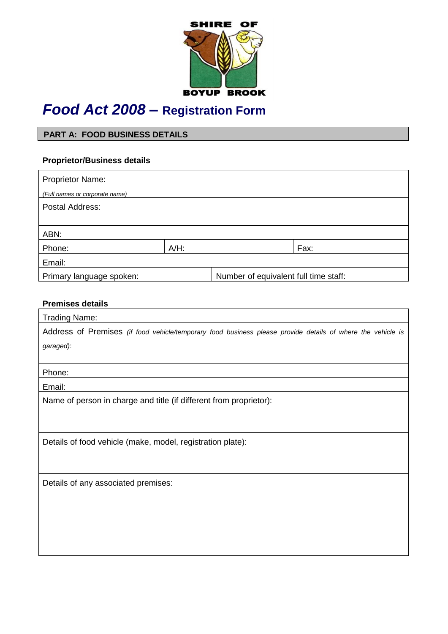

# *Food Act 2008 –* **Registration Form**

## **PART A: FOOD BUSINESS DETAILS**

## **Proprietor/Business details**

| <b>Proprietor Name:</b>        |         |                                       |      |
|--------------------------------|---------|---------------------------------------|------|
| (Full names or corporate name) |         |                                       |      |
| Postal Address:                |         |                                       |      |
|                                |         |                                       |      |
| ABN:                           |         |                                       |      |
| Phone:                         | $A/H$ : |                                       | Fax: |
| Email:                         |         |                                       |      |
| Primary language spoken:       |         | Number of equivalent full time staff: |      |

## **Premises details**

| <b>Trading Name:</b>                                                                                        |
|-------------------------------------------------------------------------------------------------------------|
| Address of Premises (if food vehicle/temporary food business please provide details of where the vehicle is |
| garaged):                                                                                                   |
|                                                                                                             |
| Phone:                                                                                                      |
| Email:                                                                                                      |
| Name of person in charge and title (if different from proprietor):                                          |
|                                                                                                             |
|                                                                                                             |
| Details of food vehicle (make, model, registration plate):                                                  |
|                                                                                                             |
|                                                                                                             |
| Details of any associated premises:                                                                         |
|                                                                                                             |
|                                                                                                             |
|                                                                                                             |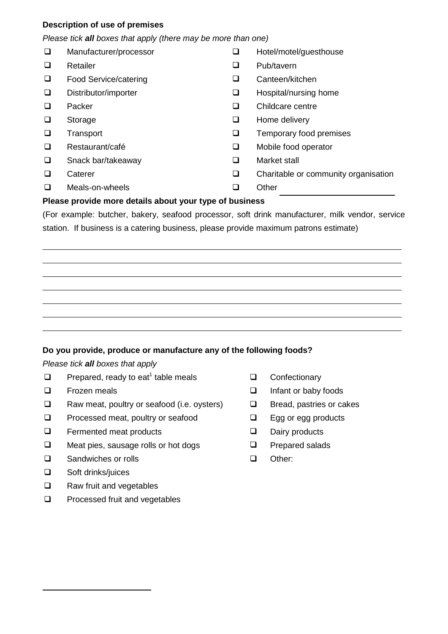### **Description of use of premises**

#### *Please tick all boxes that apply (there may be more than one)*

| □      | Manufacturer/processor | ⊔      | Hotel/motel/guesthouse               |
|--------|------------------------|--------|--------------------------------------|
| ❏      | Retailer               | ⊔      | Pub/tavern                           |
| □      | Food Service/catering  | ❏      | Canteen/kitchen                      |
| □      | Distributor/importer   | ❏      | Hospital/nursing home                |
| □      | Packer                 | ❏      | Childcare centre                     |
| ❏      | Storage                | ❏      | Home delivery                        |
| □      | Transport              | ⊔      | Temporary food premises              |
| □      | Restaurant/café        | ❏      | Mobile food operator                 |
| $\Box$ | Snack bar/takeaway     | □      | Market stall                         |
| ❏      | Caterer                | $\Box$ | Charitable or community organisation |
|        | Meals-on-wheels        |        | Other                                |

#### **Please provide more details about your type of business**

(For example: butcher, bakery, seafood processor, soft drink manufacturer, milk vendor, service station. If business is a catering business, please provide maximum patrons estimate)

#### **Do you provide, produce or manufacture any of the following foods?**

#### *Please tick all boxes that apply*

- $\Box$  Prepared, ready to eat<sup>1</sup> table meals
- $\Box$  Frozen meals  $\Box$
- $\Box$  Raw meat, poultry or seafood (i.e. oysters)  $\Box$
- $\Box$  Processed meat, poultry or seafood  $\Box$
- $\Box$  Fermented meat products  $\Box$
- $\square$  Meat pies, sausage rolls or hot dogs  $\square$
- □ Sandwiches or rolls □ □ □ □
- Soft drinks/juices  $\Box$

-

- Raw fruit and vegetables  $\Box$
- Processed fruit and vegetables  $\Box$
- **Q** Confectionary
- Infant or baby foods
- Bread, pastries or cakes
- Egg or egg products
- Dairy products
- Prepared salads
- Other: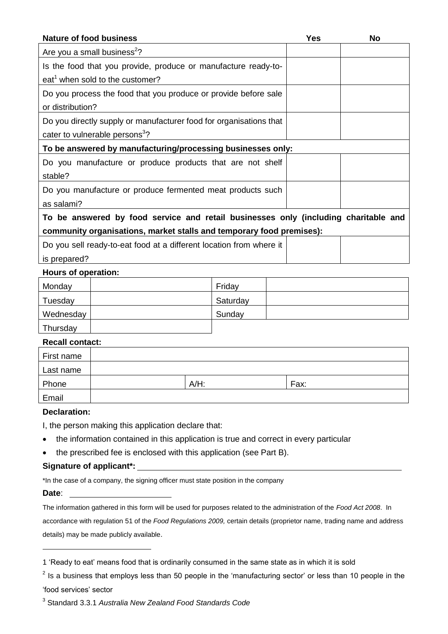| <b>Nature of food business</b>                                                      | <b>Yes</b> | <b>No</b> |
|-------------------------------------------------------------------------------------|------------|-----------|
| Are you a small business <sup>2</sup> ?                                             |            |           |
| Is the food that you provide, produce or manufacture ready-to-                      |            |           |
| eat <sup>1</sup> when sold to the customer?                                         |            |           |
| Do you process the food that you produce or provide before sale                     |            |           |
| or distribution?                                                                    |            |           |
| Do you directly supply or manufacturer food for organisations that                  |            |           |
| cater to vulnerable persons <sup>3</sup> ?                                          |            |           |
| To be answered by manufacturing/processing businesses only:                         |            |           |
| Do you manufacture or produce products that are not shelf                           |            |           |
| stable?                                                                             |            |           |
| Do you manufacture or produce fermented meat products such                          |            |           |
| as salami?                                                                          |            |           |
| To be answered by food service and retail businesses only (including charitable and |            |           |
| community organisations, market stalls and temporary food premises):                |            |           |
| Do you sell ready-to-eat food at a different location from where it                 |            |           |
| is prepared?                                                                        |            |           |
| Hours of operation:                                                                 |            |           |

## Monday | Friday Tuesday | Saturday | Saturday Wednesday | Sunday | Sunday | Sunday | Sunday | Sunday | Sunday | Sunday | Sunday | Sunday | Sunday | Sunday | Sunday | Sunday | Sunday | Sunday | Sunday | Sunday | Sunday | Sunday | Sunday | Sunday | Sunday | Sunday | Sun Thursday

## **Recall contact:**

| First name |         |      |
|------------|---------|------|
| Last name  |         |      |
| Phone      | $A/H$ : | Fax: |
| Email      |         |      |

#### **Declaration:**

I, the person making this application declare that:

- the information contained in this application is true and correct in every particular
- the prescribed fee is enclosed with this application (see Part B).

#### **Signature of applicant\*:**

\*In the case of a company, the signing officer must state position in the company

#### **Date**:

-

The information gathered in this form will be used for purposes related to the administration of the *Food Act 2008*. In accordance with regulation 51 of the *Food Regulations 2009,* certain details (proprietor name, trading name and address details) may be made publicly available.

<sup>1</sup> 'Ready to eat' means food that is ordinarily consumed in the same state as in which it is sold

 $2$  Is a business that employs less than 50 people in the 'manufacturing sector' or less than 10 people in the 'food services' sector

<sup>3</sup> Standard 3.3.1 *Australia New Zealand Food Standards Code*